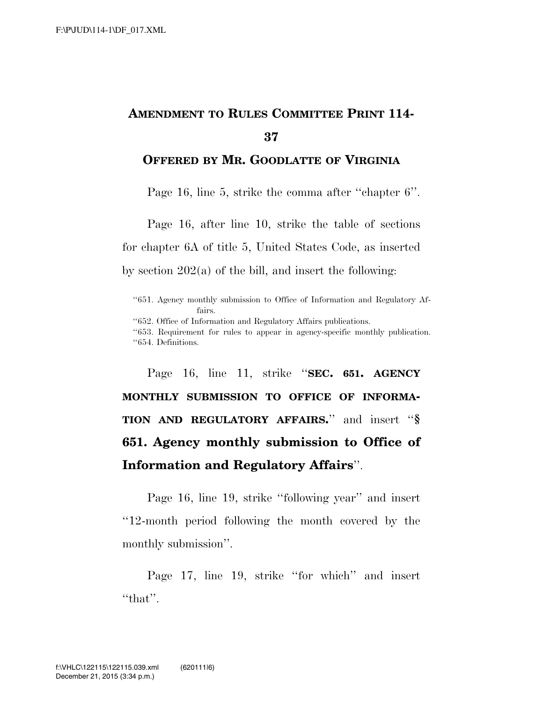## **AMENDMENT TO RULES COMMITTEE PRINT 114- 37**

## **OFFERED BY MR. GOODLATTE OF VIRGINIA**

Page 16, line 5, strike the comma after ''chapter 6''.

Page 16, after line 10, strike the table of sections for chapter 6A of title 5, United States Code, as inserted by section  $202(a)$  of the bill, and insert the following:

''652. Office of Information and Regulatory Affairs publications.

''653. Requirement for rules to appear in agency-specific monthly publication. ''654. Definitions.

Page 16, line 11, strike ''**SEC. 651. AGENCY MONTHLY SUBMISSION TO OFFICE OF INFORMA-TION AND REGULATORY AFFAIRS.**'' and insert ''**§ 651. Agency monthly submission to Office of Information and Regulatory Affairs**''.

Page 16, line 19, strike ''following year'' and insert ''12-month period following the month covered by the monthly submission''.

Page 17, line 19, strike ''for which'' and insert "that".

<sup>&#</sup>x27;'651. Agency monthly submission to Office of Information and Regulatory Affairs.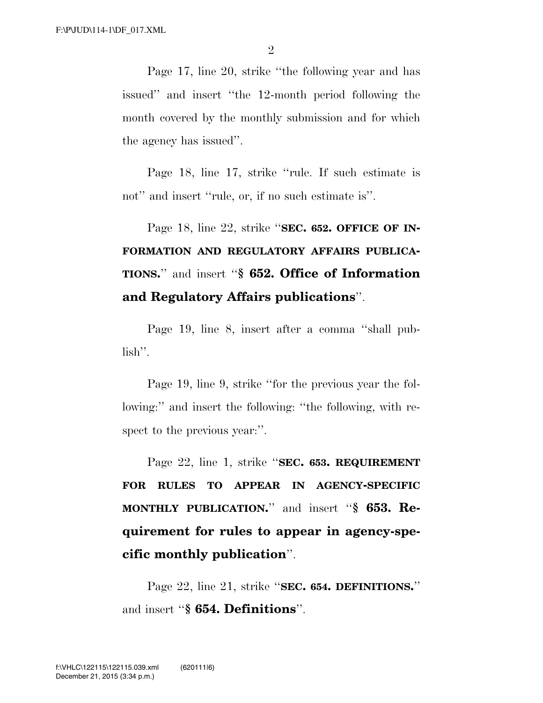Page 17, line 20, strike ''the following year and has issued'' and insert ''the 12-month period following the month covered by the monthly submission and for which the agency has issued''.

Page 18, line 17, strike ''rule. If such estimate is not" and insert "rule, or, if no such estimate is".

Page 18, line 22, strike ''**SEC. 652. OFFICE OF IN-FORMATION AND REGULATORY AFFAIRS PUBLICA-TIONS.**'' and insert ''**§ 652. Office of Information and Regulatory Affairs publications**''.

Page 19, line 8, insert after a comma ''shall publish''.

Page 19, line 9, strike ''for the previous year the following:" and insert the following: "the following, with respect to the previous year:".

Page 22, line 1, strike ''**SEC. 653. REQUIREMENT FOR RULES TO APPEAR IN AGENCY-SPECIFIC MONTHLY PUBLICATION.**'' and insert ''**§ 653. Requirement for rules to appear in agency-specific monthly publication**''.

Page 22, line 21, strike ''**SEC. 654. DEFINITIONS.**'' and insert ''**§ 654. Definitions**''.